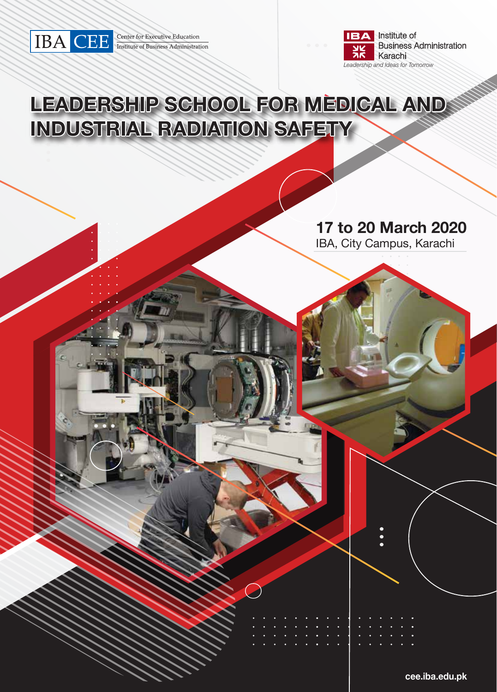

**Center for Executive Education**<br>Institute of Business Administration



# **LEADERSHIP SCHOOL FOR MEDICAL AND INDUSTRIAL RADIATION SAFETY**

 $\overline{\phantom{a}}$ 

## **17 to 20 March 2020**

IBA, City Campus, Karachi

**cee.iba.edu.pk**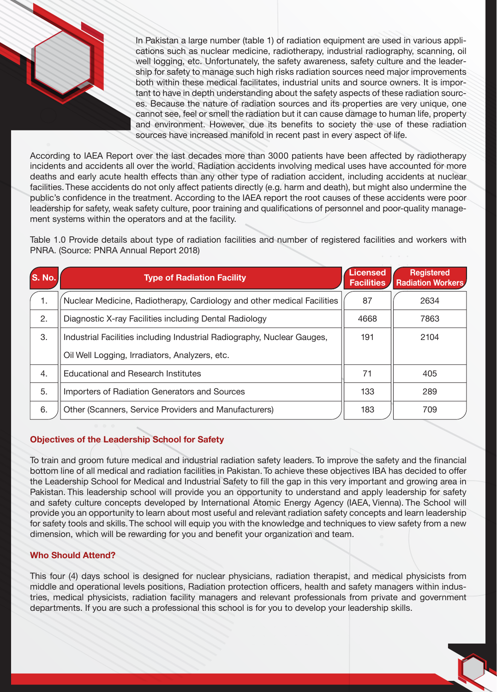In Pakistan a large number (table 1) of radiation equipment are used in various applications such as nuclear medicine, radiotherapy, industrial radiography, scanning, oil well logging, etc. Unfortunately, the safety awareness, safety culture and the leadership for safety to manage such high risks radiation sources need major improvements both within these medical facilitates, industrial units and source owners. It is important to have in depth understanding about the safety aspects of these radiation sources. Because the nature of radiation sources and its properties are very unique, one cannot see, feel or smell the radiation but it can cause damage to human life, property and environment. However, due its benefits to society the use of these radiation sources have increased manifold in recent past in every aspect of life.

According to IAEA Report over the last decades more than 3000 patients have been affected by radiotherapy incidents and accidents all over the world. Radiation accidents involving medical uses have accounted for more deaths and early acute health effects than any other type of radiation accident, including accidents at nuclear facilities. These accidents do not only affect patients directly (e.g. harm and death), but might also undermine the public's confidence in the treatment. According to the IAEA report the root causes of these accidents were poor leadership for safety, weak safety culture, poor training and qualifications of personnel and poor-quality management systems within the operators and at the facility.

Table 1.0 Provide details about type of radiation facilities and number of registered facilities and workers with PNRA. (Source: PNRA Annual Report 2018)

| S. No. | <b>Type of Radiation Facility</b>                                       | Licensed<br><b>Facilities</b> | Registered<br><b>Radiation Workers</b> |
|--------|-------------------------------------------------------------------------|-------------------------------|----------------------------------------|
| 1.     | Nuclear Medicine, Radiotherapy, Cardiology and other medical Facilities | 87                            | 2634                                   |
| 2.     | Diagnostic X-ray Facilities including Dental Radiology                  |                               | 7863                                   |
| 3.     | Industrial Facilities including Industrial Radiography, Nuclear Gauges, | 191                           | 2104                                   |
|        | Oil Well Logging, Irradiators, Analyzers, etc.                          |                               |                                        |
| 4.     | <b>Educational and Research Institutes</b>                              | 71                            | 405                                    |
| 5.     | Importers of Radiation Generators and Sources                           | 133                           | 289                                    |
| 6.     | Other (Scanners, Service Providers and Manufacturers)                   | 183                           | 709                                    |

#### **Objectives of the Leadership School for Safety**

To train and groom future medical and industrial radiation safety leaders. To improve the safety and the financial bottom line of all medical and radiation facilities in Pakistan. To achieve these objectives IBA has decided to offer the Leadership School for Medical and Industrial Safety to fill the gap in this very important and growing area in Pakistan. This leadership school will provide you an opportunity to understand and apply leadership for safety and safety culture concepts developed by International Atomic Energy Agency (IAEA, Vienna). The School will provide you an opportunity to learn about most useful and relevant radiation safety concepts and learn leadership for safety tools and skills. The school will equip you with the knowledge and techniques to view safety from a new dimension, which will be rewarding for you and benefit your organization and team.

#### **Who Should Attend?**

This four (4) days school is designed for nuclear physicians, radiation therapist, and medical physicists from middle and operational levels positions, Radiation protection officers, health and safety managers within industries, medical physicists, radiation facility managers and relevant professionals from private and government departments. If you are such a professional this school is for you to develop your leadership skills.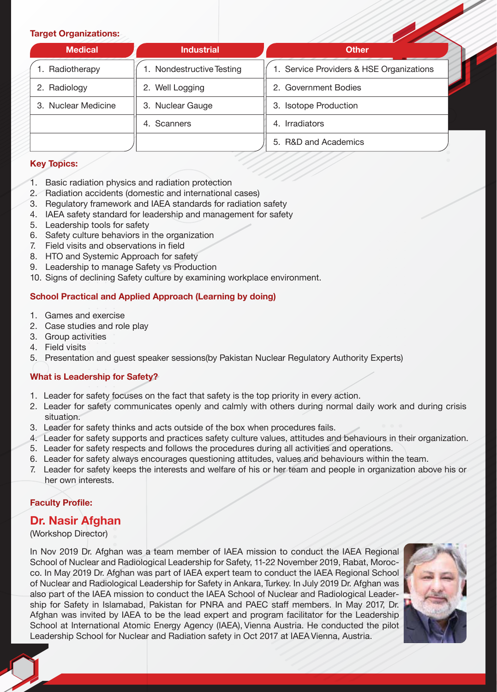#### **Target Organizations:**

| <b>Medical</b>      | <b>Industrial</b>      | <b>Other</b>                             |  |  |
|---------------------|------------------------|------------------------------------------|--|--|
| Radiotherapy        | Nondestructive Testing | 1. Service Providers & HSE Organizations |  |  |
| 2. Radiology        | 2. Well Logging        | 2. Government Bodies                     |  |  |
| 3. Nuclear Medicine | 3. Nuclear Gauge       | 3. Isotope Production                    |  |  |
|                     | 4. Scanners            | 4. Irradiators                           |  |  |
|                     |                        | 5. R&D and Academics                     |  |  |

#### **Key Topics:**

- 1. Basic radiation physics and radiation protection
- 2. Radiation accidents (domestic and international cases)
- 3. Regulatory framework and IAEA standards for radiation safety
- 4. IAEA safety standard for leadership and management for safety
- 5. Leadership tools for safety
- 6. Safety culture behaviors in the organization
- 7. Field visits and observations in field
- 8. HTO and Systemic Approach for safety
- 9. Leadership to manage Safety vs Production
- 10. Signs of declining Safety culture by examining workplace environment.

#### **School Practical and Applied Approach (Learning by doing)**

- 1. Games and exercise
- 2. Case studies and role play
- 3. Group activities
- 4. Field visits
- 5. Presentation and guest speaker sessions(by Pakistan Nuclear Regulatory Authority Experts)

#### **What is Leadership for Safety?**

- 1. Leader for safety focuses on the fact that safety is the top priority in every action.
- 2. Leader for safety communicates openly and calmly with others during normal daily work and during crisis situation.
- 3. Leader for safety thinks and acts outside of the box when procedures fails.
- 4. Leader for safety supports and practices safety culture values, attitudes and behaviours in their organization.
- 5. Leader for safety respects and follows the procedures during all activities and operations.
- 6. Leader for safety always encourages questioning attitudes, values and behaviours within the team.
- 7. Leader for safety keeps the interests and welfare of his or her team and people in organization above his or her own interests.

#### **Faculty Profile:**

#### **Dr. Nasir Afghan**

(Workshop Director)

In Nov 2019 Dr. Afghan was a team member of IAEA mission to conduct the IAEA Regional School of Nuclear and Radiological Leadership for Safety, 11-22 November 2019, Rabat, Morocco. In May 2019 Dr. Afghan was part of IAEA expert team to conduct the IAEA Regional School of Nuclear and Radiological Leadership for Safety in Ankara, Turkey. In July 2019 Dr. Afghan was also part of the IAEA mission to conduct the IAEA School of Nuclear and Radiological Leadership for Safety in Islamabad, Pakistan for PNRA and PAEC staff members. In May 2017, Dr. Afghan was invited by IAEA to be the lead expert and program facilitator for the Leadership School at International Atomic Energy Agency (IAEA), Vienna Austria. He conducted the pilot Leadership School for Nuclear and Radiation safety in Oct 2017 at IAEA Vienna, Austria.